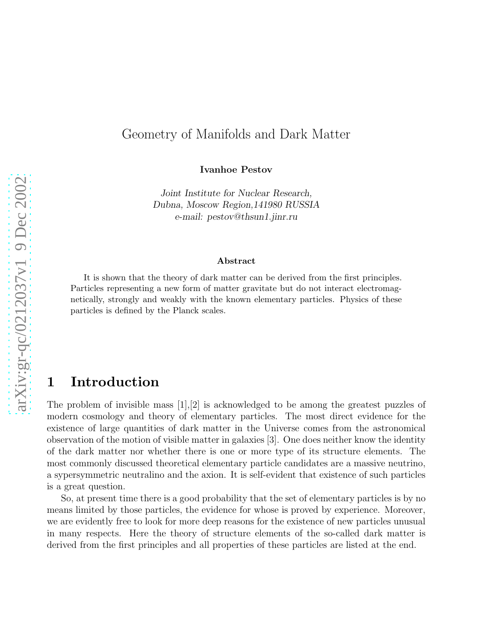## Geometry of Manifolds and Dark Matter

Ivanhoe Pestov

*Joint Institute for Nuclear Research, Dubna, Moscow Region,141980 RUSSIA e-mail: pestov@thsun1.jinr.ru*

#### Abstract

It is shown that the theory of dark matter can be derived from the first principles. Particles representing a new form of matter gravitate but do not interact electromagnetically, strongly and weakly with the known elementary particles. Physics of these particles is defined by the Planck scales.

## 1 Introduction

The problem of invisible mass [1],[2] is acknowledged to be among the greatest puzzles of modern cosmology and theory of elementary particles. The most direct evidence for the existence of large quantities of dark matter in the Universe comes from the astronomical observation of the motion of visible matter in galaxies [3]. One does neither know the identity of the dark matter nor whether there is one or more type of its structure elements. The most commonly discussed theoretical elementary particle candidates are a massive neutrino, a sypersymmetric neutralino and the axion. It is self-evident that existence of such particles is a great question.

So, at present time there is a good probability that the set of elementary particles is by no means limited by those particles, the evidence for whose is proved by experience. Moreover, we are evidently free to look for more deep reasons for the existence of new particles unusual in many respects. Here the theory of structure elements of the so-called dark matter is derived from the first principles and all properties of these particles are listed at the end.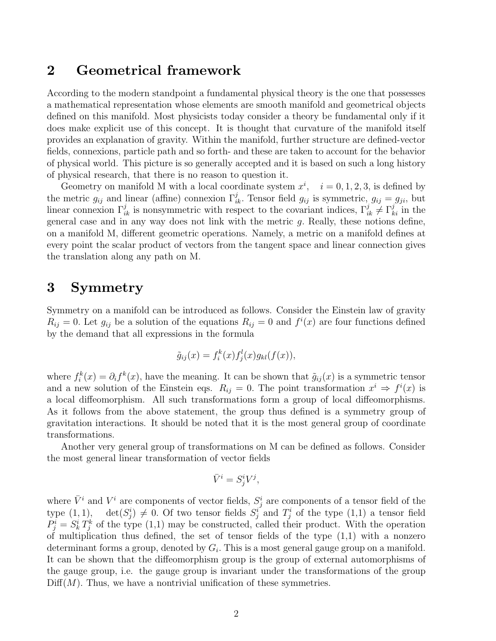## 2 Geometrical framework

According to the modern standpoint a fundamental physical theory is the one that possesses a mathematical representation whose elements are smooth manifold and geometrical objects defined on this manifold. Most physicists today consider a theory be fundamental only if it does make explicit use of this concept. It is thought that curvature of the manifold itself provides an explanation of gravity. Within the manifold, further structure are defined-vector fields, connexions, particle path and so forth- and these are taken to account for the behavior of physical world. This picture is so generally accepted and it is based on such a long history of physical research, that there is no reason to question it.

Geometry on manifold M with a local coordinate system  $x^i$ ,  $i = 0, 1, 2, 3$ , is defined by the metric  $g_{ij}$  and linear (affine) connexion  $\Gamma_{ik}^j$ . Tensor field  $g_{ij}$  is symmetric,  $g_{ij} = g_{ji}$ , but linear connexion  $\Gamma_{ik}^j$  is nonsymmetric with respect to the covariant indices,  $\Gamma_{ik}^j \neq \Gamma_{ki}^j$  in the general case and in any way does not link with the metric  $g$ . Really, these notions define, on a manifold M, different geometric operations. Namely, a metric on a manifold defines at every point the scalar product of vectors from the tangent space and linear connection gives the translation along any path on M.

## 3 Symmetry

Symmetry on a manifold can be introduced as follows. Consider the Einstein law of gravity  $R_{ij} = 0$ . Let  $g_{ij}$  be a solution of the equations  $R_{ij} = 0$  and  $f^i(x)$  are four functions defined by the demand that all expressions in the formula

$$
\tilde{g}_{ij}(x) = f_i^k(x) f_j^l(x) g_{kl}(f(x)),
$$

where  $f_i^k(x) = \partial_i f^k(x)$ , have the meaning. It can be shown that  $\tilde{g}_{ij}(x)$  is a symmetric tensor and a new solution of the Einstein eqs.  $R_{ij} = 0$ . The point transformation  $x^i \Rightarrow f^i(x)$  is a local diffeomorphism. All such transformations form a group of local diffeomorphisms. As it follows from the above statement, the group thus defined is a symmetry group of gravitation interactions. It should be noted that it is the most general group of coordinate transformations.

Another very general group of transformations on M can be defined as follows. Consider the most general linear transformation of vector fields

$$
\bar{V}^i = S^i_j V^j,
$$

where  $\bar{V}^i$  and  $V^i$  are components of vector fields,  $S^i_j$  are components of a tensor field of the type  $(1,1)$ ,  $\det(S_j^i) \neq 0$ . Of two tensor fields  $S_j^i$  and  $T_j^i$  of the type  $(1,1)$  a tensor field  $P_j^i = S_k^i T_j^k$  of the type (1,1) may be constructed, called their product. With the operation of multiplication thus defined, the set of tensor fields of the type  $(1,1)$  with a nonzero determinant forms a group, denoted by  $G_i$ . This is a most general gauge group on a manifold. It can be shown that the diffeomorphism group is the group of external automorphisms of the gauge group, i.e. the gauge group is invariant under the transformations of the group  $\mathrm{Diff}(M)$ . Thus, we have a nontrivial unification of these symmetries.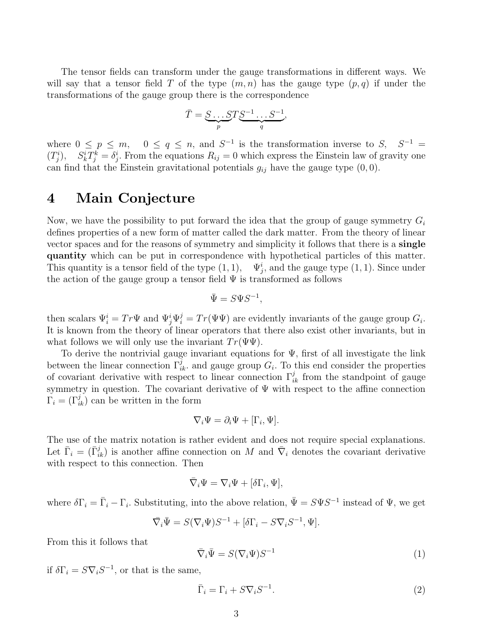The tensor fields can transform under the gauge transformations in different ways. We will say that a tensor field T of the type  $(m, n)$  has the gauge type  $(p, q)$  if under the transformations of the gauge group there is the correspondence

$$
\bar{T} = \underbrace{S \dots ST}_{p} \underbrace{S^{-1} \dots S^{-1}}_{q},
$$

where  $0 \le p \le m$ ,  $0 \le q \le n$ , and  $S^{-1}$  is the transformation inverse to  $S$ ,  $S^{-1}$  =  $(T_j^i)$ ,  $S_k^i T_j^k = \delta_j^i$ . From the equations  $R_{ij} = 0$  which express the Einstein law of gravity one can find that the Einstein gravitational potentials  $g_{ij}$  have the gauge type  $(0, 0)$ .

# 4 Main Conjecture

Now, we have the possibility to put forward the idea that the group of gauge symmetry  $G_i$ defines properties of a new form of matter called the dark matter. From the theory of linear vector spaces and for the reasons of symmetry and simplicity it follows that there is a single quantity which can be put in correspondence with hypothetical particles of this matter. This quantity is a tensor field of the type  $(1, 1)$ ,  $\Psi_j^i$ , and the gauge type  $(1, 1)$ . Since under the action of the gauge group a tensor field  $\Psi$  is transformed as follows

$$
\bar{\Psi} = S\Psi S^{-1},
$$

then scalars  $\Psi_i^i = Tr \Psi$  and  $\Psi_j^i \Psi_i^j = Tr(\Psi \Psi)$  are evidently invariants of the gauge group  $G_i$ . It is known from the theory of linear operators that there also exist other invariants, but in what follows we will only use the invariant  $Tr(\Psi\Psi)$ .

To derive the nontrivial gauge invariant equations for  $\Psi$ , first of all investigate the link between the linear connection  $\Gamma_{ik}^j$ , and gauge group  $G_i$ . To this end consider the properties of covariant derivative with respect to linear connection  $\Gamma_{ik}^j$  from the standpoint of gauge symmetry in question. The covariant derivative of  $\Psi$  with respect to the affine connection  $\Gamma_i = (\Gamma^j_{ik})$  can be written in the form

$$
\nabla_i \Psi = \partial_i \Psi + [\Gamma_i, \Psi].
$$

The use of the matrix notation is rather evident and does not require special explanations. Let  $\bar{\Gamma}_i = (\bar{\Gamma}_{ik}^j)$  is another affine connection on M and  $\bar{\nabla}_i$  denotes the covariant derivative with respect to this connection. Then

$$
\bar{\nabla}_i \Psi = \nabla_i \Psi + [\delta \Gamma_i, \Psi],
$$

where  $\delta\Gamma_i = \bar{\Gamma}_i - \Gamma_i$ . Substituting, into the above relation,  $\bar{\Psi} = S\Psi S^{-1}$  instead of  $\Psi$ , we get

$$
\overline{\nabla}_i \overline{\Psi} = S(\nabla_i \Psi) S^{-1} + [\delta \Gamma_i - S \nabla_i S^{-1}, \Psi].
$$

From this it follows that

$$
\bar{\nabla}_i \bar{\Psi} = S(\nabla_i \Psi) S^{-1} \tag{1}
$$

if  $\delta\Gamma_i = S\nabla_i S^{-1}$ , or that is the same,

$$
\bar{\Gamma}_i = \Gamma_i + S \nabla_i S^{-1}.
$$
\n(2)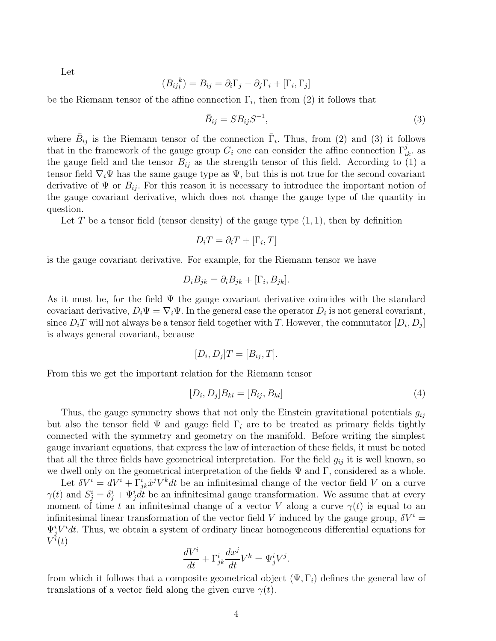Let

$$
(B_{ij}^{\ \ k}) = B_{ij} = \partial_i \Gamma_j - \partial_j \Gamma_i + [\Gamma_i, \Gamma_j]
$$

be the Riemann tensor of the affine connection  $\Gamma_i$ , then from (2) it follows that

$$
\bar{B}_{ij} = S B_{ij} S^{-1},\tag{3}
$$

where  $\bar{B}_{ij}$  is the Riemann tensor of the connection  $\bar{\Gamma}_i$ . Thus, from (2) and (3) it follows that in the framework of the gauge group  $G_i$  one can consider the affine connection  $\Gamma_{ik}^j$ . the gauge field and the tensor  $B_{ij}$  as the strength tensor of this field. According to (1) a tensor field  $\nabla_i \Psi$  has the same gauge type as  $\Psi$ , but this is not true for the second covariant derivative of  $\Psi$  or  $B_{ij}$ . For this reason it is necessary to introduce the important notion of the gauge covariant derivative, which does not change the gauge type of the quantity in question.

Let T be a tensor field (tensor density) of the gauge type  $(1, 1)$ , then by definition

$$
D_i T = \partial_i T + [\Gamma_i, T]
$$

is the gauge covariant derivative. For example, for the Riemann tensor we have

$$
D_i B_{jk} = \partial_i B_{jk} + [\Gamma_i, B_{jk}].
$$

As it must be, for the field  $\Psi$  the gauge covariant derivative coincides with the standard covariant derivative,  $D_i \Psi = \nabla_i \Psi$ . In the general case the operator  $D_i$  is not general covariant, since  $D_i T$  will not always be a tensor field together with  $T$ . However, the commutator  $[D_i, D_j]$ is always general covariant, because

$$
[D_i, D_j]T = [B_{ij}, T].
$$

From this we get the important relation for the Riemann tensor

$$
[D_i, D_j]B_{kl} = [B_{ij}, B_{kl}]
$$
\n
$$
(4)
$$

Thus, the gauge symmetry shows that not only the Einstein gravitational potentials  $g_{ij}$ but also the tensor field  $\Psi$  and gauge field  $\Gamma_i$  are to be treated as primary fields tightly connected with the symmetry and geometry on the manifold. Before writing the simplest gauge invariant equations, that express the law of interaction of these fields, it must be noted that all the three fields have geometrical interpretation. For the field  $g_{ij}$  it is well known, so we dwell only on the geometrical interpretation of the fields  $\Psi$  and  $\Gamma$ , considered as a whole.

Let  $\delta V^i = dV^i + \Gamma^i_{jk}\dot{x}^j V^k dt$  be an infinitesimal change of the vector field V on a curve  $\gamma(t)$  and  $S_j^i = \delta_j^i + \Psi_j^i dt$  be an infinitesimal gauge transformation. We assume that at every moment of time t an infinitesimal change of a vector V along a curve  $\gamma(t)$  is equal to an infinitesimal linear transformation of the vector field V induced by the gauge group,  $\delta V^i$  =  $\Psi_j^i V^i dt$ . Thus, we obtain a system of ordinary linear homogeneous differential equations for  $V^{\v i}(t)$ 

$$
\frac{dV^i}{dt} + \Gamma^i_{jk}\frac{dx^j}{dt}V^k = \Psi^i_j V^j.
$$

from which it follows that a composite geometrical object  $(\Psi, \Gamma_i)$  defines the general law of translations of a vector field along the given curve  $\gamma(t)$ .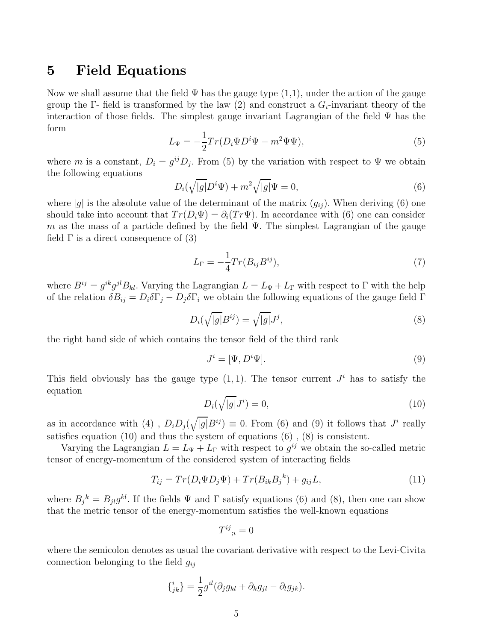## 5 Field Equations

Now we shall assume that the field  $\Psi$  has the gauge type  $(1,1)$ , under the action of the gauge group the Γ- field is transformed by the law (2) and construct a  $G_i$ -invariant theory of the interaction of those fields. The simplest gauge invariant Lagrangian of the field  $\Psi$  has the form

$$
L_{\Psi} = -\frac{1}{2}Tr(D_i\Psi D^i\Psi - m^2\Psi\Psi),\tag{5}
$$

where m is a constant,  $D_i = g^{ij} D_j$ . From (5) by the variation with respect to  $\Psi$  we obtain the following equations

$$
D_i(\sqrt{|g|}D^i\Psi) + m^2\sqrt{|g|}\Psi = 0,
$$
\n(6)

where |g| is the absolute value of the determinant of the matrix  $(g_{ii})$ . When deriving (6) one should take into account that  $Tr(D_i\Psi) = \partial_i(T_T\Psi)$ . In accordance with (6) one can consider m as the mass of a particle defined by the field  $\Psi$ . The simplest Lagrangian of the gauge field  $\Gamma$  is a direct consequence of (3)

$$
L_{\Gamma} = -\frac{1}{4} Tr(B_{ij} B^{ij}),\tag{7}
$$

where  $B^{ij} = g^{ik}g^{jl}B_{kl}$ . Varying the Lagrangian  $L = L_{\Psi} + L_{\Gamma}$  with respect to  $\Gamma$  with the help of the relation  $\delta B_{ij} = D_i \delta \Gamma_j - D_j \delta \Gamma_i$  we obtain the following equations of the gauge field  $\Gamma$ 

$$
D_i(\sqrt{|g|}B^{ij}) = \sqrt{|g|}J^j,
$$
\n(8)

the right hand side of which contains the tensor field of the third rank

$$
J^i = [\Psi, D^i \Psi]. \tag{9}
$$

This field obviously has the gauge type  $(1, 1)$ . The tensor current  $J<sup>i</sup>$  has to satisfy the equation

$$
D_i(\sqrt{|g|}J^i) = 0,\t\t(10)
$$

as in accordance with (4),  $D_i D_j(\sqrt{|g|}B^{ij}) \equiv 0$ . From (6) and (9) it follows that  $J^i$  really satisfies equation (10) and thus the system of equations (6) , (8) is consistent.

Varying the Lagrangian  $L = L_{\Psi} + L_{\Gamma}$  with respect to  $g^{ij}$  we obtain the so-called metric tensor of energy-momentum of the considered system of interacting fields

$$
T_{ij} = Tr(D_i \Psi D_j \Psi) + Tr(B_{ik} B_j{}^k) + g_{ij} L, \tag{11}
$$

where  $B_j^{\ k} = B_{jl}g^{kl}$ . If the fields  $\Psi$  and  $\Gamma$  satisfy equations (6) and (8), then one can show that the metric tensor of the energy-momentum satisfies the well-known equations

$$
T^{ij}{}_{;i}=0
$$

where the semicolon denotes as usual the covariant derivative with respect to the Levi-Civita connection belonging to the field  $g_{ij}$ 

$$
\{^i_{jk}\} = \frac{1}{2}g^{il}(\partial_j g_{kl} + \partial_k g_{jl} - \partial_l g_{jk}).
$$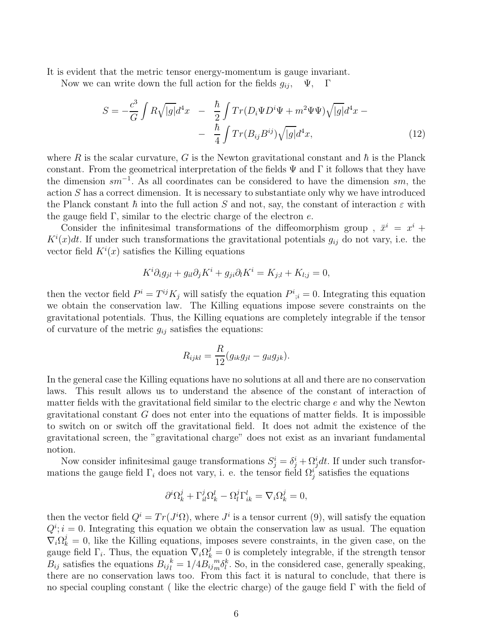It is evident that the metric tensor energy-momentum is gauge invariant.

Now we can write down the full action for the fields  $g_{ij}$ ,  $\Psi$ ,  $\Gamma$ 

$$
S = -\frac{c^3}{G} \int R\sqrt{|g|} d^4x - \frac{\hbar}{2} \int Tr(D_i \Psi D^i \Psi + m^2 \Psi \Psi) \sqrt{|g|} d^4x -
$$

$$
- \frac{\hbar}{4} \int Tr(B_{ij} B^{ij}) \sqrt{|g|} d^4x,\tag{12}
$$

where R is the scalar curvature, G is the Newton gravitational constant and  $\hbar$  is the Planck constant. From the geometrical interpretation of the fields  $\Psi$  and  $\Gamma$  it follows that they have the dimension  $sm^{-1}$ . As all coordinates can be considered to have the dimension  $sm$ , the action  $S$  has a correct dimension. It is necessary to substantiate only why we have introduced the Planck constant  $\hbar$  into the full action S and not, say, the constant of interaction  $\varepsilon$  with the gauge field  $\Gamma$ , similar to the electric charge of the electron e.

Consider the infinitesimal transformations of the diffeomorphism group,  $\bar{x}^i = x^i +$  $K^{i}(x)dt$ . If under such transformations the gravitational potentials  $g_{ij}$  do not vary, i.e. the vector field  $K^{i}(x)$  satisfies the Killing equations

$$
K^i \partial_i g_{jl} + g_{il} \partial_j K^i + g_{ji} \partial_l K^i = K_{j;l} + K_{l;j} = 0,
$$

then the vector field  $P^i = T^{ij} K_j$  will satisfy the equation  $P^i_{\;i} = 0$ . Integrating this equation we obtain the conservation law. The Killing equations impose severe constraints on the gravitational potentials. Thus, the Killing equations are completely integrable if the tensor of curvature of the metric  $g_{ij}$  satisfies the equations:

$$
R_{ijkl} = \frac{R}{12} (g_{ik}g_{jl} - g_{il}g_{jk}).
$$

In the general case the Killing equations have no solutions at all and there are no conservation laws. This result allows us to understand the absence of the constant of interaction of matter fields with the gravitational field similar to the electric charge  $e$  and why the Newton gravitational constant  $G$  does not enter into the equations of matter fields. It is impossible to switch on or switch off the gravitational field. It does not admit the existence of the gravitational screen, the "gravitational charge" does not exist as an invariant fundamental notion.

Now consider infinitesimal gauge transformations  $S_j^i = \delta_j^i + \Omega_j^i dt$ . If under such transformations the gauge field  $\Gamma_i$  does not vary, i. e. the tensor field  $\Omega_j^i$  satisfies the equations

$$
\partial^i \Omega^j_k + \Gamma^j_{il} \Omega^l_k - \Omega^j_l \Gamma^l_{ik} = \nabla_i \Omega^j_k = 0,
$$

then the vector field  $Q^i = Tr(J^i\Omega)$ , where  $J^i$  is a tensor current (9), will satisfy the equation  $Q^i$ ;  $i = 0$ . Integrating this equation we obtain the conservation law as usual. The equation  $\nabla_i \Omega_k^j = 0$ , like the Killing equations, imposes severe constraints, in the given case, on the gauge field  $\Gamma_i$ . Thus, the equation  $\nabla_i \Omega_k^j = 0$  is completely integrable, if the strength tensor  $B_{ij}$  satisfies the equations  $B_{ij}^{\ \ k} = 1/4B_{ij\ m}^{\ \ m}$  ${}_{m}^{m}\delta_{l}^{k}$ . So, in the considered case, generally speaking, there are no conservation laws too. From this fact it is natural to conclude, that there is no special coupling constant ( like the electric charge) of the gauge field  $\Gamma$  with the field of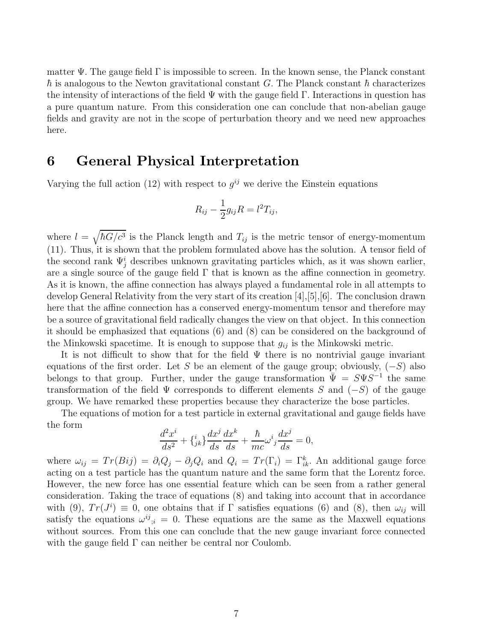matter  $\Psi$ . The gauge field  $\Gamma$  is impossible to screen. In the known sense, the Planck constant  $\hbar$  is analogous to the Newton gravitational constant G. The Planck constant  $\hbar$  characterizes the intensity of interactions of the field  $\Psi$  with the gauge field Γ. Interactions in question has a pure quantum nature. From this consideration one can conclude that non-abelian gauge fields and gravity are not in the scope of perturbation theory and we need new approaches here.

### 6 General Physical Interpretation

Varying the full action (12) with respect to  $g^{ij}$  we derive the Einstein equations

$$
R_{ij} - \frac{1}{2}g_{ij}R = l^2T_{ij},
$$

where  $l = \sqrt{\hbar G/c^3}$  is the Planck length and  $T_{ij}$  is the metric tensor of energy-momentum (11). Thus, it is shown that the problem formulated above has the solution. A tensor field of the second rank  $\Psi_j^i$  describes unknown gravitating particles which, as it was shown earlier, are a single source of the gauge field  $\Gamma$  that is known as the affine connection in geometry. As it is known, the affine connection has always played a fundamental role in all attempts to develop General Relativity from the very start of its creation [4],[5],[6]. The conclusion drawn here that the affine connection has a conserved energy-momentum tensor and therefore may be a source of gravitational field radically changes the view on that object. In this connection it should be emphasized that equations (6) and (8) can be considered on the background of the Minkowski spacetime. It is enough to suppose that  $g_{ij}$  is the Minkowski metric.

It is not difficult to show that for the field  $\Psi$  there is no nontrivial gauge invariant equations of the first order. Let S be an element of the gauge group; obviously,  $(-S)$  also belongs to that group. Further, under the gauge transformation  $\overline{\Psi} = S \Psi S^{-1}$  the same transformation of the field  $\Psi$  corresponds to different elements S and (-S) of the gauge group. We have remarked these properties because they characterize the bose particles.

The equations of motion for a test particle in external gravitational and gauge fields have the form

$$
\frac{d^2x^i}{ds^2} + \{^i_{jk}\}\frac{dx^j}{ds}\frac{dx^k}{ds} + \frac{\hbar}{mc}\omega^i_j\frac{dx^j}{ds} = 0,
$$

where  $\omega_{ij} = Tr(Bij) = \partial_i Q_j - \partial_j Q_i$  and  $Q_i = Tr(\Gamma_i) = \Gamma_{ik}^k$ . An additional gauge force acting on a test particle has the quantum nature and the same form that the Lorentz force. However, the new force has one essential feature which can be seen from a rather general consideration. Taking the trace of equations (8) and taking into account that in accordance with (9),  $Tr(J^{i}) \equiv 0$ , one obtains that if  $\Gamma$  satisfies equations (6) and (8), then  $\omega_{ij}$  will satisfy the equations  $\omega^{ij}_{;i} = 0$ . These equations are the same as the Maxwell equations without sources. From this one can conclude that the new gauge invariant force connected with the gauge field  $\Gamma$  can neither be central nor Coulomb.